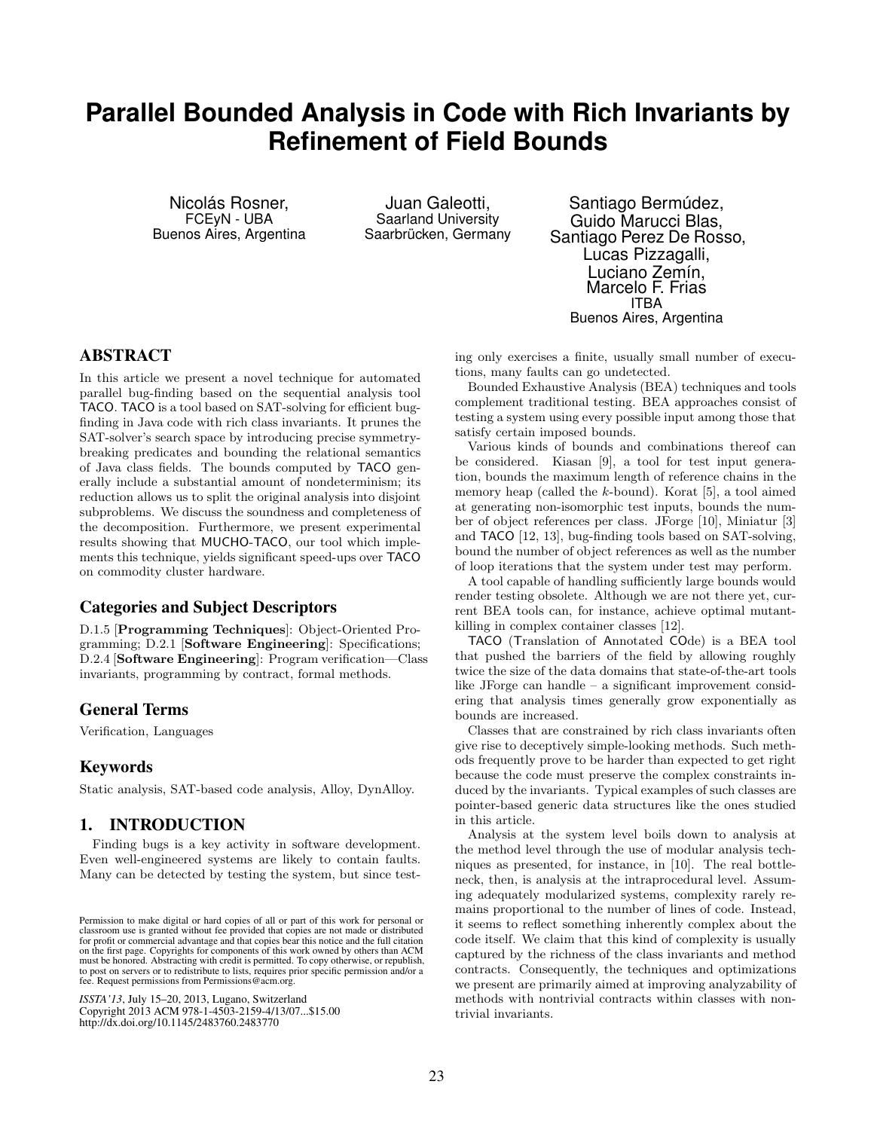# **Parallel Bounded Analysis in Code with Rich Invariants by Refinement of Field Bounds**

Nicolás Rosner, FCEyN - UBA Buenos Aires, Argentina

Juan Galeotti, Saarland University Saarbrücken, Germany

Santiago Bermúdez, Guido Marucci Blas, Santiago Perez De Rosso, Lucas Pizzagalli, Luciano Zemín, Marcelo F. Frias ITBA Buenos Aires, Argentina

# ABSTRACT

In this article we present a novel technique for automated parallel bug-finding based on the sequential analysis tool TACO. TACO is a tool based on SAT-solving for efficient bugfinding in Java code with rich class invariants. It prunes the SAT-solver's search space by introducing precise symmetrybreaking predicates and bounding the relational semantics of Java class fields. The bounds computed by TACO generally include a substantial amount of nondeterminism; its reduction allows us to split the original analysis into disjoint subproblems. We discuss the soundness and completeness of the decomposition. Furthermore, we present experimental results showing that MUCHO-TACO, our tool which implements this technique, yields significant speed-ups over TACO on commodity cluster hardware.

### Categories and Subject Descriptors

D.1.5 [Programming Techniques]: Object-Oriented Programming; D.2.1 [Software Engineering]: Specifications; D.2.4 [Software Engineering]: Program verification—Class invariants, programming by contract, formal methods.

### General Terms

Verification, Languages

## Keywords

Static analysis, SAT-based code analysis, Alloy, DynAlloy.

## 1. INTRODUCTION

Finding bugs is a key activity in software development. Even well-engineered systems are likely to contain faults. Many can be detected by testing the system, but since test-

ISSTA'13, July 15-20, 2013, Lugano, Switzerland *ISSTA'13, July 15–20, 2013, Lugano, Switzerland* Copyright 2013 ACM 978-1-4503-2159-4/13/07...\$15.00 http://dx.doi.org/10.1145/2483760.2483770 ing only exercises a finite, usually small number of executions, many faults can go undetected.

Bounded Exhaustive Analysis (BEA) techniques and tools complement traditional testing. BEA approaches consist of testing a system using every possible input among those that satisfy certain imposed bounds.

Various kinds of bounds and combinations thereof can be considered. Kiasan [9], a tool for test input generation, bounds the maximum length of reference chains in the memory heap (called the k-bound). Korat [5], a tool aimed at generating non-isomorphic test inputs, bounds the number of object references per class. JForge [10], Miniatur [3] and TACO [12, 13], bug-finding tools based on SAT-solving, bound the number of object references as well as the number of loop iterations that the system under test may perform.

A tool capable of handling sufficiently large bounds would render testing obsolete. Although we are not there yet, current BEA tools can, for instance, achieve optimal mutantkilling in complex container classes [12].

TACO (Translation of Annotated COde) is a BEA tool that pushed the barriers of the field by allowing roughly twice the size of the data domains that state-of-the-art tools like JForge can handle – a significant improvement considering that analysis times generally grow exponentially as bounds are increased.

Classes that are constrained by rich class invariants often give rise to deceptively simple-looking methods. Such methods frequently prove to be harder than expected to get right because the code must preserve the complex constraints induced by the invariants. Typical examples of such classes are pointer-based generic data structures like the ones studied in this article.

Analysis at the system level boils down to analysis at the method level through the use of modular analysis techniques as presented, for instance, in [10]. The real bottleneck, then, is analysis at the intraprocedural level. Assuming adequately modularized systems, complexity rarely remains proportional to the number of lines of code. Instead, it seems to reflect something inherently complex about the code itself. We claim that this kind of complexity is usually captured by the richness of the class invariants and method contracts. Consequently, the techniques and optimizations we present are primarily aimed at improving analyzability of methods with nontrivial contracts within classes with nontrivial invariants.

classroom use is granted without fee provided that copies are not made or distributed<br>for an fit to communical advantage and that copies has this patient and the full distinct for profit or commercial advantage and that copies bear this notice and the furt chattor<br>on the first page. Convirights for components of this work owned by others than ACM on the first page. Copyrights for components of this work owned by others than ACM<br>must be honored. Abstracting with credit is permitted. To copy otherwise, or republish, to post on servers or to redistribute to lists, requires prior specific permission and/or a fee. Request permissions from Permissions@acm.org. Permission to make digital or hard copies of all or part of this work for personal or for profit or commercial advantage and that copies bear this notice and the full citation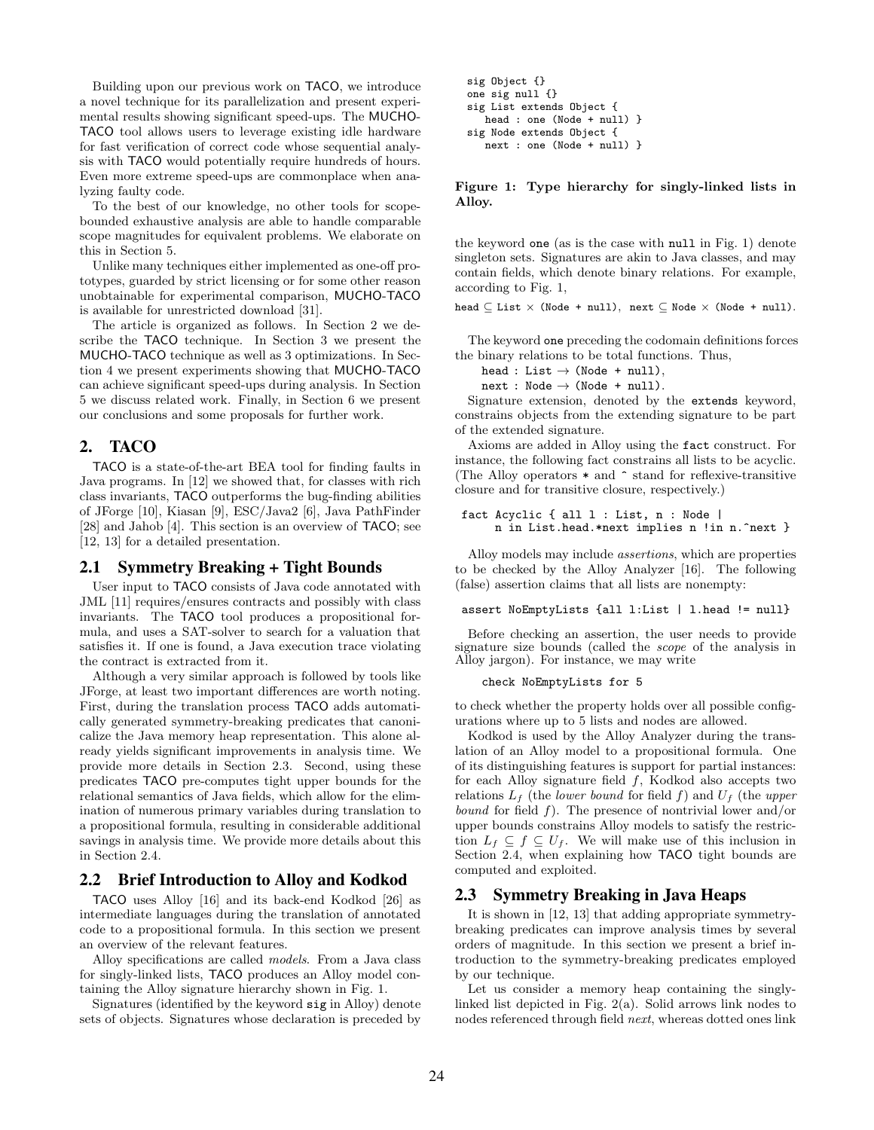Building upon our previous work on TACO, we introduce a novel technique for its parallelization and present experimental results showing significant speed-ups. The MUCHO-TACO tool allows users to leverage existing idle hardware for fast verification of correct code whose sequential analysis with TACO would potentially require hundreds of hours. Even more extreme speed-ups are commonplace when analyzing faulty code.

To the best of our knowledge, no other tools for scopebounded exhaustive analysis are able to handle comparable scope magnitudes for equivalent problems. We elaborate on this in Section 5.

Unlike many techniques either implemented as one-off prototypes, guarded by strict licensing or for some other reason unobtainable for experimental comparison, MUCHO-TACO is available for unrestricted download [31].

The article is organized as follows. In Section 2 we describe the TACO technique. In Section 3 we present the MUCHO-TACO technique as well as 3 optimizations. In Section 4 we present experiments showing that MUCHO-TACO can achieve significant speed-ups during analysis. In Section 5 we discuss related work. Finally, in Section 6 we present our conclusions and some proposals for further work.

# 2. TACO

TACO is a state-of-the-art BEA tool for finding faults in Java programs. In [12] we showed that, for classes with rich class invariants, TACO outperforms the bug-finding abilities of JForge [10], Kiasan [9], ESC/Java2 [6], Java PathFinder [28] and Jahob [4]. This section is an overview of TACO; see [12, 13] for a detailed presentation.

#### 2.1 Symmetry Breaking + Tight Bounds

User input to TACO consists of Java code annotated with JML [11] requires/ensures contracts and possibly with class invariants. The TACO tool produces a propositional formula, and uses a SAT-solver to search for a valuation that satisfies it. If one is found, a Java execution trace violating the contract is extracted from it.

Although a very similar approach is followed by tools like JForge, at least two important differences are worth noting. First, during the translation process TACO adds automatically generated symmetry-breaking predicates that canonicalize the Java memory heap representation. This alone already yields significant improvements in analysis time. We provide more details in Section 2.3. Second, using these predicates TACO pre-computes tight upper bounds for the relational semantics of Java fields, which allow for the elimination of numerous primary variables during translation to a propositional formula, resulting in considerable additional savings in analysis time. We provide more details about this in Section 2.4.

#### 2.2 Brief Introduction to Alloy and Kodkod

TACO uses Alloy [16] and its back-end Kodkod [26] as intermediate languages during the translation of annotated code to a propositional formula. In this section we present an overview of the relevant features.

Alloy specifications are called models. From a Java class for singly-linked lists, TACO produces an Alloy model containing the Alloy signature hierarchy shown in Fig. 1.

Signatures (identified by the keyword sig in Alloy) denote sets of objects. Signatures whose declaration is preceded by

```
sig Object {}
one sig null {}
sig List extends Object {
  head : one (Node + null) }
sig Node extends Object {
  next : one (Node + null) }
```
Figure 1: Type hierarchy for singly-linked lists in Alloy.

the keyword one (as is the case with null in Fig. 1) denote singleton sets. Signatures are akin to Java classes, and may contain fields, which denote binary relations. For example, according to Fig. 1,

head  $\subseteq$  List  $\times$  (Node + null), next  $\subseteq$  Node  $\times$  (Node + null).

The keyword one preceding the codomain definitions forces the binary relations to be total functions. Thus,

head : List  $\rightarrow$  (Node + null),

 $next : Node \rightarrow (Node + null).$ 

Signature extension, denoted by the extends keyword, constrains objects from the extending signature to be part of the extended signature.

Axioms are added in Alloy using the fact construct. For instance, the following fact constrains all lists to be acyclic. (The Alloy operators  $*$  and  $\hat{ }$  stand for reflexive-transitive closure and for transitive closure, respectively.)

```
fact Acyclic { all l : List, n : Node |
     n in List.head.*next implies n !in n.^next }
```
Alloy models may include assertions, which are properties to be checked by the Alloy Analyzer [16]. The following (false) assertion claims that all lists are nonempty:

```
assert NoEmptyLists {all l:List | l.head != null}
```
Before checking an assertion, the user needs to provide signature size bounds (called the scope of the analysis in Alloy jargon). For instance, we may write

```
check NoEmptyLists for 5
```
to check whether the property holds over all possible configurations where up to 5 lists and nodes are allowed.

Kodkod is used by the Alloy Analyzer during the translation of an Alloy model to a propositional formula. One of its distinguishing features is support for partial instances: for each Alloy signature field  $f$ , Kodkod also accepts two relations  $L_f$  (the *lower bound* for field f) and  $U_f$  (the upper *bound* for field  $f$ ). The presence of nontrivial lower and/or upper bounds constrains Alloy models to satisfy the restriction  $L_f \subseteq f \subseteq U_f$ . We will make use of this inclusion in Section 2.4, when explaining how TACO tight bounds are computed and exploited.

## 2.3 Symmetry Breaking in Java Heaps

It is shown in [12, 13] that adding appropriate symmetrybreaking predicates can improve analysis times by several orders of magnitude. In this section we present a brief introduction to the symmetry-breaking predicates employed by our technique.

Let us consider a memory heap containing the singlylinked list depicted in Fig. 2(a). Solid arrows link nodes to nodes referenced through field next, whereas dotted ones link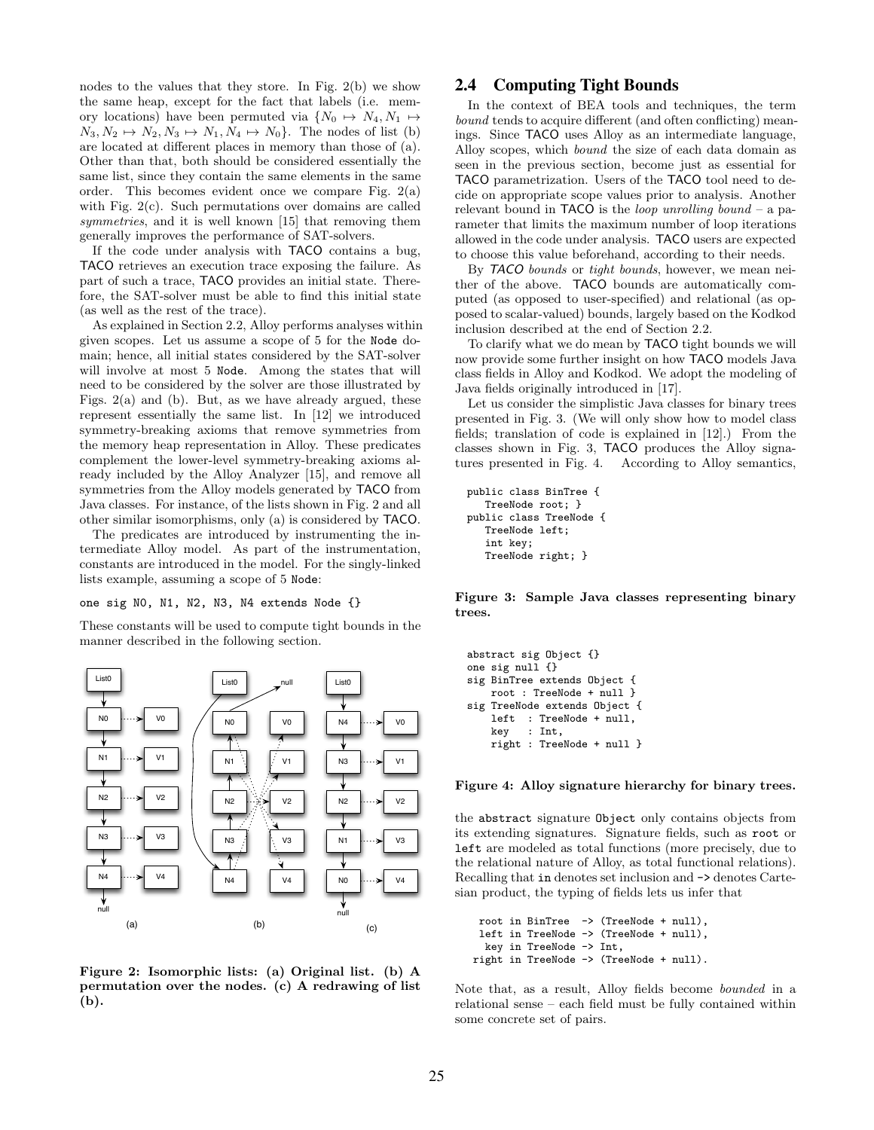nodes to the values that they store. In Fig. 2(b) we show the same heap, except for the fact that labels (i.e. memory locations) have been permuted via  $\{N_0 \mapsto N_4, N_1 \mapsto$  $N_3, N_2 \mapsto N_2, N_3 \mapsto N_1, N_4 \mapsto N_0$ . The nodes of list (b) are located at different places in memory than those of (a). Other than that, both should be considered essentially the same list, since they contain the same elements in the same order. This becomes evident once we compare Fig. 2(a) with Fig. 2(c). Such permutations over domains are called symmetries, and it is well known [15] that removing them generally improves the performance of SAT-solvers.

If the code under analysis with TACO contains a bug, TACO retrieves an execution trace exposing the failure. As part of such a trace, TACO provides an initial state. Therefore, the SAT-solver must be able to find this initial state (as well as the rest of the trace).

As explained in Section 2.2, Alloy performs analyses within given scopes. Let us assume a scope of 5 for the Node domain; hence, all initial states considered by the SAT-solver will involve at most 5 Node. Among the states that will need to be considered by the solver are those illustrated by Figs. 2(a) and (b). But, as we have already argued, these represent essentially the same list. In [12] we introduced symmetry-breaking axioms that remove symmetries from the memory heap representation in Alloy. These predicates complement the lower-level symmetry-breaking axioms already included by the Alloy Analyzer [15], and remove all symmetries from the Alloy models generated by TACO from Java classes. For instance, of the lists shown in Fig. 2 and all other similar isomorphisms, only (a) is considered by TACO.

The predicates are introduced by instrumenting the intermediate Alloy model. As part of the instrumentation, constants are introduced in the model. For the singly-linked lists example, assuming a scope of 5 Node:

#### one sig N0, N1, N2, N3, N4 extends Node {}

These constants will be used to compute tight bounds in the manner described in the following section.



Figure 2: Isomorphic lists: (a) Original list. (b) A permutation over the nodes. (c) A redrawing of list (b).

## 2.4 Computing Tight Bounds

In the context of BEA tools and techniques, the term bound tends to acquire different (and often conflicting) meanings. Since TACO uses Alloy as an intermediate language, Alloy scopes, which bound the size of each data domain as seen in the previous section, become just as essential for TACO parametrization. Users of the TACO tool need to decide on appropriate scope values prior to analysis. Another relevant bound in **TACO** is the *loop unrolling bound* – a parameter that limits the maximum number of loop iterations allowed in the code under analysis. TACO users are expected to choose this value beforehand, according to their needs.

By TACO bounds or tight bounds, however, we mean neither of the above. TACO bounds are automatically computed (as opposed to user-specified) and relational (as opposed to scalar-valued) bounds, largely based on the Kodkod inclusion described at the end of Section 2.2.

To clarify what we do mean by TACO tight bounds we will now provide some further insight on how TACO models Java class fields in Alloy and Kodkod. We adopt the modeling of Java fields originally introduced in [17].

Let us consider the simplistic Java classes for binary trees presented in Fig. 3. (We will only show how to model class fields; translation of code is explained in [12].) From the classes shown in Fig. 3, TACO produces the Alloy signatures presented in Fig. 4. According to Alloy semantics,

```
public class BinTree {
   TreeNode root; }
public class TreeNode {
   TreeNode left;
   int key;
  TreeNode right; }
```
Figure 3: Sample Java classes representing binary trees.

abstract sig Object {} one sig null  $\{$ } sig BinTree extends Object { root : TreeNode + null } sig TreeNode extends Object { left : TreeNode + null, key : Int, right : TreeNode + null }

Figure 4: Alloy signature hierarchy for binary trees.

the abstract signature Object only contains objects from its extending signatures. Signature fields, such as root or left are modeled as total functions (more precisely, due to the relational nature of Alloy, as total functional relations). Recalling that in denotes set inclusion and -> denotes Cartesian product, the typing of fields lets us infer that

```
root in BinTree -> (TreeNode + null),
 left in TreeNode -> (TreeNode + null),
 key in TreeNode -> Int,
right in TreeNode -> (TreeNode + null).
```
Note that, as a result, Alloy fields become bounded in a relational sense – each field must be fully contained within some concrete set of pairs.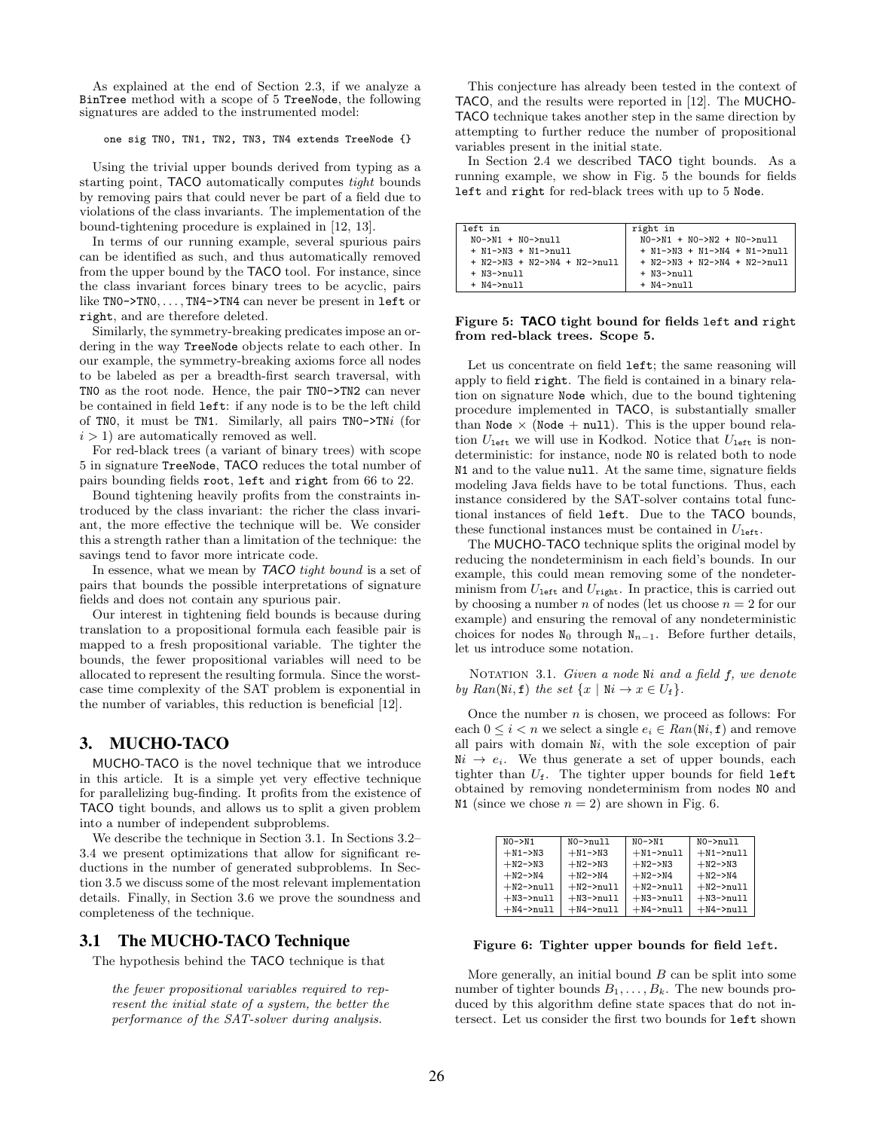As explained at the end of Section 2.3, if we analyze a BinTree method with a scope of 5 TreeNode, the following signatures are added to the instrumented model:

one sig TN0, TN1, TN2, TN3, TN4 extends TreeNode {}

Using the trivial upper bounds derived from typing as a starting point, TACO automatically computes *tight* bounds by removing pairs that could never be part of a field due to violations of the class invariants. The implementation of the bound-tightening procedure is explained in [12, 13].

In terms of our running example, several spurious pairs can be identified as such, and thus automatically removed from the upper bound by the TACO tool. For instance, since the class invariant forces binary trees to be acyclic, pairs like TNO->TNO, ..., TN4->TN4 can never be present in left or right, and are therefore deleted.

Similarly, the symmetry-breaking predicates impose an ordering in the way TreeNode objects relate to each other. In our example, the symmetry-breaking axioms force all nodes to be labeled as per a breadth-first search traversal, with TN0 as the root node. Hence, the pair TN0->TN2 can never be contained in field left: if any node is to be the left child of TN0, it must be TN1. Similarly, all pairs TN0->TNi (for  $i > 1$ ) are automatically removed as well.

For red-black trees (a variant of binary trees) with scope 5 in signature TreeNode, TACO reduces the total number of pairs bounding fields root, left and right from 66 to 22.

Bound tightening heavily profits from the constraints introduced by the class invariant: the richer the class invariant, the more effective the technique will be. We consider this a strength rather than a limitation of the technique: the savings tend to favor more intricate code.

In essence, what we mean by TACO tight bound is a set of pairs that bounds the possible interpretations of signature fields and does not contain any spurious pair.

Our interest in tightening field bounds is because during translation to a propositional formula each feasible pair is mapped to a fresh propositional variable. The tighter the bounds, the fewer propositional variables will need to be allocated to represent the resulting formula. Since the worstcase time complexity of the SAT problem is exponential in the number of variables, this reduction is beneficial [12].

#### 3. MUCHO-TACO

MUCHO-TACO is the novel technique that we introduce in this article. It is a simple yet very effective technique for parallelizing bug-finding. It profits from the existence of TACO tight bounds, and allows us to split a given problem into a number of independent subproblems.

We describe the technique in Section 3.1. In Sections 3.2– 3.4 we present optimizations that allow for significant reductions in the number of generated subproblems. In Section 3.5 we discuss some of the most relevant implementation details. Finally, in Section 3.6 we prove the soundness and completeness of the technique.

### 3.1 The MUCHO-TACO Technique

The hypothesis behind the TACO technique is that

the fewer propositional variables required to represent the initial state of a system, the better the performance of the SAT-solver during analysis.

This conjecture has already been tested in the context of TACO, and the results were reported in [12]. The MUCHO-TACO technique takes another step in the same direction by attempting to further reduce the number of propositional variables present in the initial state.

In Section 2.4 we described TACO tight bounds. As a running example, we show in Fig. 5 the bounds for fields left and right for red-black trees with up to 5 Node.

| left in                        | right in                           |
|--------------------------------|------------------------------------|
| $NO->N1 + NO->null$            | $NO->N1 + NO->N2 + NO->null1$      |
| $+$ N1- $>$ N3 + N1- $>$ null  | + N1->N3 + N1->N4 + N1->null       |
| $+$ N2->N3 + N2->N4 + N2->null | $+$ N2->N3 $+$ N2->N4 $+$ N2->null |
| $+$ N3- $>$ null               | + N3->null                         |
| $+$ N4->null                   | $+$ N4->null                       |

#### Figure 5: TACO tight bound for fields left and right from red-black trees. Scope 5.

Let us concentrate on field left; the same reasoning will apply to field right. The field is contained in a binary relation on signature Node which, due to the bound tightening procedure implemented in TACO, is substantially smaller than Node  $\times$  (Node + null). This is the upper bound relation  $U_{\text{left}}$  we will use in Kodkod. Notice that  $U_{\text{left}}$  is nondeterministic: for instance, node N0 is related both to node N1 and to the value null. At the same time, signature fields modeling Java fields have to be total functions. Thus, each instance considered by the SAT-solver contains total functional instances of field left. Due to the TACO bounds, these functional instances must be contained in  $U_{\text{left}}$ .

The MUCHO-TACO technique splits the original model by reducing the nondeterminism in each field's bounds. In our example, this could mean removing some of the nondeterminism from  $U_{\text{left}}$  and  $U_{\text{right}}$ . In practice, this is carried out by choosing a number n of nodes (let us choose  $n = 2$  for our example) and ensuring the removal of any nondeterministic choices for nodes  $N_0$  through  $N_{n-1}$ . Before further details, let us introduce some notation.

NOTATION 3.1. Given a node  $N$ i and a field  $f$ , we denote by Ran(Ni, f) the set  $\{x \mid Ni \rightarrow x \in U_f\}.$ 

Once the number  $n$  is chosen, we proceed as follows: For each  $0 \leq i < n$  we select a single  $e_i \in Ran(\text{Ni}, \textbf{f})$  and remove all pairs with domain  $Ni$ , with the sole exception of pair  $Ni \rightarrow e_i$ . We thus generate a set of upper bounds, each tighter than  $U_f$ . The tighter upper bounds for field left obtained by removing nondeterminism from nodes N0 and N1 (since we chose  $n = 2$ ) are shown in Fig. 6.

| $NO->N1$     | $NO->null$   | $NO->N1$     | $NO->null$   |
|--------------|--------------|--------------|--------------|
| $+N1->N3$    | $+N1->N3$    | $+N1$ ->null | $+N1$ ->null |
| $+$ N2->N3   | $+N2->N3$    | $+$ N2->N3   | $+N2->N3$    |
| $+N2->N4$    | $+$ N2->N4   | $+N2->N4$    | $+$ N2->N4   |
| $+N2$ ->null | $+N2$ ->null | $+N2$ ->null | $+N2$ ->null |
| $+N3$ ->null | $+N3$ ->null | $+N3->null$  | $+N3$ ->null |
| $+$ N4->null | $+N4$ ->null | $+N4$ ->null | $+N4$ ->null |

#### Figure 6: Tighter upper bounds for field left.

More generally, an initial bound  $B$  can be split into some number of tighter bounds  $B_1, \ldots, B_k$ . The new bounds produced by this algorithm define state spaces that do not intersect. Let us consider the first two bounds for left shown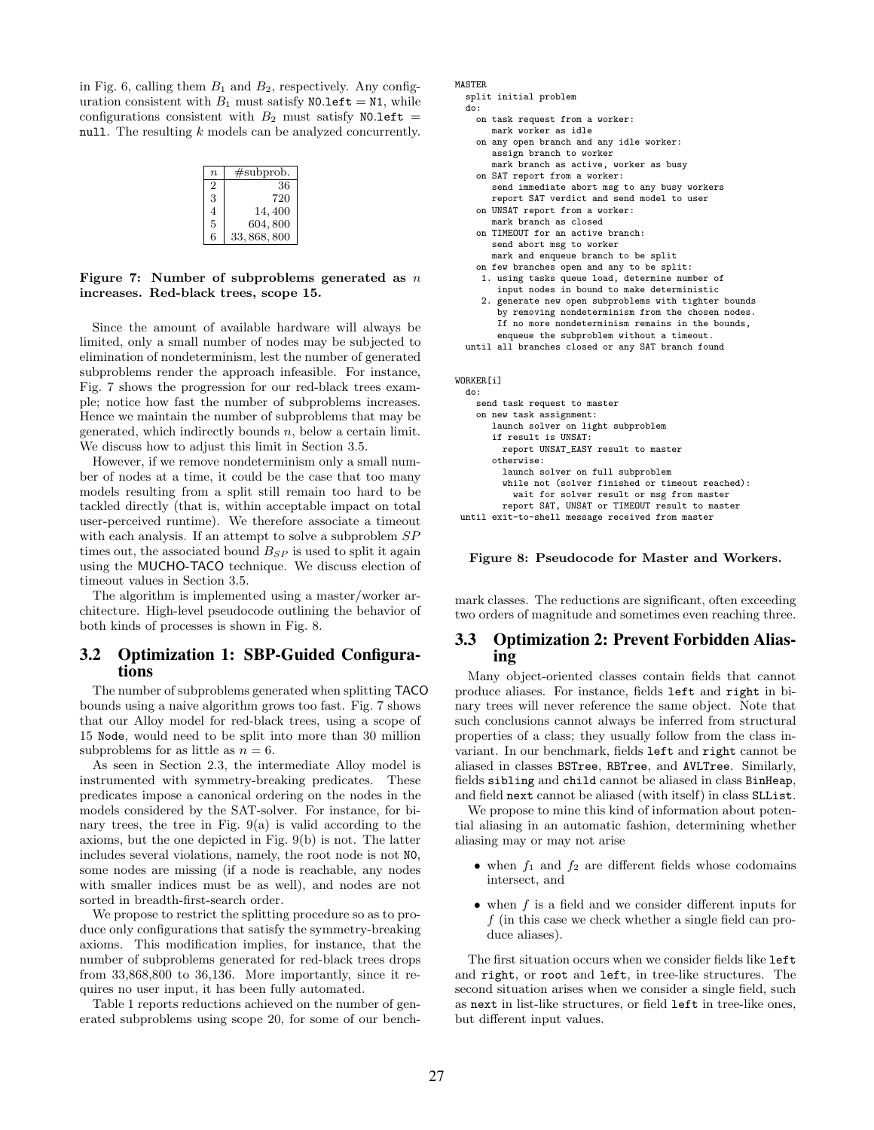in Fig. 6, calling them  $B_1$  and  $B_2$ , respectively. Any configuration consistent with  $B_1$  must satisfy N0.1eft = N1, while configurations consistent with  $B_2$  must satisfy NO.left = null. The resulting k models can be analyzed concurrently.

| $\boldsymbol{n}$ | $\#$ subprob. |
|------------------|---------------|
| $\overline{2}$   | 36            |
| 3                | 720           |
| 4                | 14,400        |
| 5                | 604,800       |
| 6                | 33, 868, 800  |

Figure 7: Number of subproblems generated as  $n$ increases. Red-black trees, scope 15.

Since the amount of available hardware will always be limited, only a small number of nodes may be subjected to elimination of nondeterminism, lest the number of generated subproblems render the approach infeasible. For instance, Fig. 7 shows the progression for our red-black trees example; notice how fast the number of subproblems increases. Hence we maintain the number of subproblems that may be generated, which indirectly bounds  $n$ , below a certain limit. We discuss how to adjust this limit in Section 3.5.

However, if we remove nondeterminism only a small number of nodes at a time, it could be the case that too many models resulting from a split still remain too hard to be tackled directly (that is, within acceptable impact on total user-perceived runtime). We therefore associate a timeout with each analysis. If an attempt to solve a subproblem  $SP$ times out, the associated bound  $B_{SP}$  is used to split it again using the MUCHO-TACO technique. We discuss election of timeout values in Section 3.5.

The algorithm is implemented using a master/worker architecture. High-level pseudocode outlining the behavior of both kinds of processes is shown in Fig. 8.

#### 3.2 Optimization 1: SBP-Guided Configurations

The number of subproblems generated when splitting TACO bounds using a naive algorithm grows too fast. Fig. 7 shows that our Alloy model for red-black trees, using a scope of 15 Node, would need to be split into more than 30 million subproblems for as little as  $n = 6$ .

As seen in Section 2.3, the intermediate Alloy model is instrumented with symmetry-breaking predicates. These predicates impose a canonical ordering on the nodes in the models considered by the SAT-solver. For instance, for binary trees, the tree in Fig.  $9(a)$  is valid according to the axioms, but the one depicted in Fig. 9(b) is not. The latter includes several violations, namely, the root node is not N0, some nodes are missing (if a node is reachable, any nodes with smaller indices must be as well), and nodes are not sorted in breadth-first-search order.

We propose to restrict the splitting procedure so as to produce only configurations that satisfy the symmetry-breaking axioms. This modification implies, for instance, that the number of subproblems generated for red-black trees drops from 33,868,800 to 36,136. More importantly, since it requires no user input, it has been fully automated.

Table 1 reports reductions achieved on the number of generated subproblems using scope 20, for some of our benchMASTER

```
split initial problem
do:
```
- on task request from a worker: mark worker as idle on any open branch and any idle worker: assign branch to worker
- mark branch as active, worker as busy on SAT report from a worker:
- send immediate abort msg to any busy workers report SAT verdict and send model to user on UNSAT report from a worker:
- mark branch as closed
- on TIMEOUT for an active branch: send abort msg to worker
- mark and enqueue branch to be split
- on few branches open and any to be split: 1. using tasks queue load, determine number of input nodes in bound to make deterministic
- 2. generate new open subproblems with tighter bounds by removing nondeterminism from the chosen nodes. If no more nondeterminism remains in the bounds, enqueue the subproblem without a timeout.

until all branches closed or any SAT branch found

WORKER[i] do:

```
send task request to master
  on new task assignment:
     launch solver on light subproblem
      if result is UNSAT:
       report UNSAT_EASY result to master
     otherwise:
       launch solver on full subproblem
       while not (solver finished or timeout reached):
         wait for solver result or msg from master
       report SAT, UNSAT or TIMEOUT result to master
until exit-to-shell message received from master
```
#### Figure 8: Pseudocode for Master and Workers.

mark classes. The reductions are significant, often exceeding two orders of magnitude and sometimes even reaching three.

### 3.3 Optimization 2: Prevent Forbidden Aliasing

Many object-oriented classes contain fields that cannot produce aliases. For instance, fields left and right in binary trees will never reference the same object. Note that such conclusions cannot always be inferred from structural properties of a class; they usually follow from the class invariant. In our benchmark, fields left and right cannot be aliased in classes BSTree, RBTree, and AVLTree. Similarly, fields sibling and child cannot be aliased in class BinHeap, and field next cannot be aliased (with itself) in class SLList.

We propose to mine this kind of information about potential aliasing in an automatic fashion, determining whether aliasing may or may not arise

- when  $f_1$  and  $f_2$  are different fields whose codomains intersect, and
- when  $f$  is a field and we consider different inputs for  $f$  (in this case we check whether a single field can produce aliases).

The first situation occurs when we consider fields like left and right, or root and left, in tree-like structures. The second situation arises when we consider a single field, such as next in list-like structures, or field left in tree-like ones, but different input values.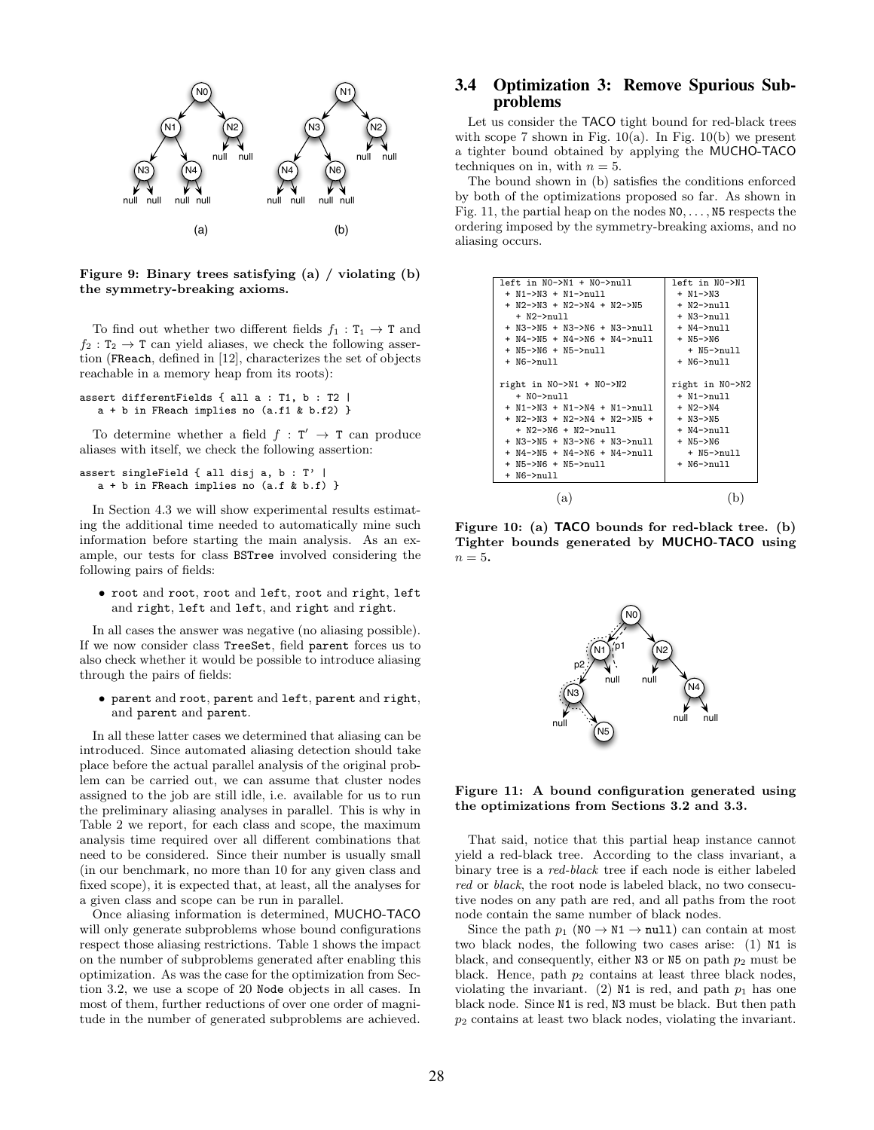

Figure 9: Binary trees satisfying (a) / violating (b) the symmetry-breaking axioms.

To find out whether two different fields  $f_1 : T_1 \rightarrow T$  and  $f_2 : T_2 \to T$  can yield aliases, we check the following assertion (FReach, defined in [12], characterizes the set of objects reachable in a memory heap from its roots):

```
assert differentFields { all a : T1, b : T2 |
   a + b in FReach implies no (a.f1 & b.f2) }
```
To determine whether a field  $f : T' \rightarrow T$  can produce aliases with itself, we check the following assertion:

```
assert singleField { all disj a, b : T' |
   a + b in FReach implies no (a.f & b.f) }
```
In Section 4.3 we will show experimental results estimating the additional time needed to automatically mine such information before starting the main analysis. As an example, our tests for class BSTree involved considering the following pairs of fields:

• root and root, root and left, root and right, left and right, left and left, and right and right.

In all cases the answer was negative (no aliasing possible). If we now consider class TreeSet, field parent forces us to also check whether it would be possible to introduce aliasing through the pairs of fields:

• parent and root, parent and left, parent and right, and parent and parent.

In all these latter cases we determined that aliasing can be introduced. Since automated aliasing detection should take place before the actual parallel analysis of the original problem can be carried out, we can assume that cluster nodes assigned to the job are still idle, i.e. available for us to run the preliminary aliasing analyses in parallel. This is why in Table 2 we report, for each class and scope, the maximum analysis time required over all different combinations that need to be considered. Since their number is usually small (in our benchmark, no more than 10 for any given class and fixed scope), it is expected that, at least, all the analyses for a given class and scope can be run in parallel.

Once aliasing information is determined, MUCHO-TACO will only generate subproblems whose bound configurations respect those aliasing restrictions. Table 1 shows the impact on the number of subproblems generated after enabling this optimization. As was the case for the optimization from Section 3.2, we use a scope of 20 Node objects in all cases. In most of them, further reductions of over one order of magnitude in the number of generated subproblems are achieved.

## 3.4 Optimization 3: Remove Spurious Subproblems

Let us consider the TACO tight bound for red-black trees with scope 7 shown in Fig.  $10(a)$ . In Fig.  $10(b)$  we present a tighter bound obtained by applying the MUCHO-TACO techniques on in, with  $n = 5$ .

The bound shown in (b) satisfies the conditions enforced by both of the optimizations proposed so far. As shown in Fig. 11, the partial heap on the nodes  $NO, \ldots, NO$  respects the ordering imposed by the symmetry-breaking axioms, and no aliasing occurs.



Figure 10: (a) TACO bounds for red-black tree. (b) Tighter bounds generated by MUCHO-TACO using  $n=5.$ 



#### Figure 11: A bound configuration generated using the optimizations from Sections 3.2 and 3.3.

That said, notice that this partial heap instance cannot yield a red-black tree. According to the class invariant, a binary tree is a red-black tree if each node is either labeled red or black, the root node is labeled black, no two consecutive nodes on any path are red, and all paths from the root node contain the same number of black nodes.

Since the path  $p_1$  (NO  $\rightarrow$  N1  $\rightarrow$  null) can contain at most two black nodes, the following two cases arise: (1) N1 is black, and consequently, either  $N3$  or  $N5$  on path  $p_2$  must be black. Hence, path  $p_2$  contains at least three black nodes, violating the invariant. (2)  $\mathbb{N}1$  is red, and path  $p_1$  has one black node. Since N1 is red, N3 must be black. But then path  $p_2$  contains at least two black nodes, violating the invariant.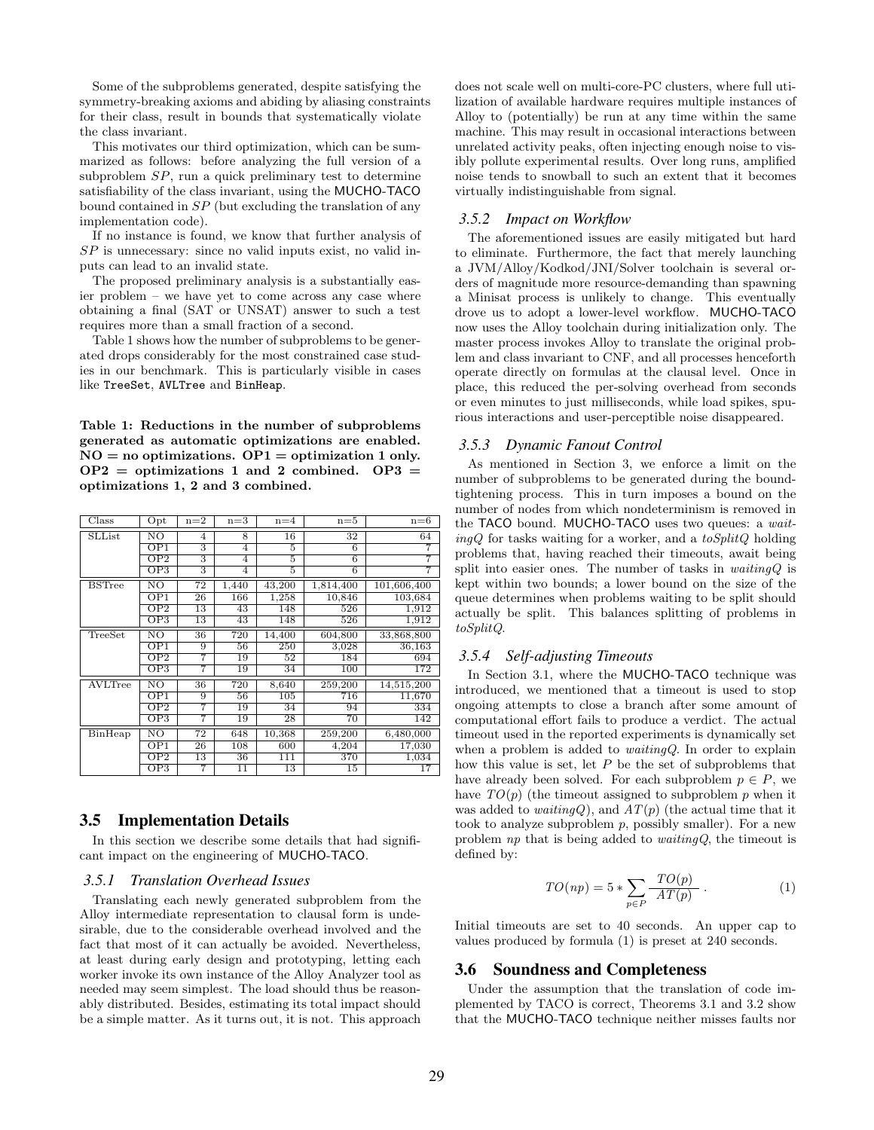Some of the subproblems generated, despite satisfying the symmetry-breaking axioms and abiding by aliasing constraints for their class, result in bounds that systematically violate the class invariant.

This motivates our third optimization, which can be summarized as follows: before analyzing the full version of a subproblem SP, run a quick preliminary test to determine satisfiability of the class invariant, using the MUCHO-TACO bound contained in SP (but excluding the translation of any implementation code).

If no instance is found, we know that further analysis of  $SP$  is unnecessary: since no valid inputs exist, no valid inputs can lead to an invalid state.

The proposed preliminary analysis is a substantially easier problem – we have yet to come across any case where obtaining a final (SAT or UNSAT) answer to such a test requires more than a small fraction of a second.

Table 1 shows how the number of subproblems to be generated drops considerably for the most constrained case studies in our benchmark. This is particularly visible in cases like TreeSet, AVLTree and BinHeap.

Table 1: Reductions in the number of subproblems generated as automatic optimizations are enabled.  $NO = no$  optimizations.  $OP1 =$  optimization 1 only.  $OP2 =$  optimizations 1 and 2 combined.  $OP3 =$ optimizations 1, 2 and 3 combined.

| Class          | Opt                 | $n=2$ | $n=3$          | $n=4$  | $n=5$     | $n=6$       |
|----------------|---------------------|-------|----------------|--------|-----------|-------------|
| <b>SLList</b>  | $\overline{\rm NO}$ | 4     | 8              | 16     | 32        | 64          |
|                | OP1                 | 3     | $\overline{4}$ | 5      | 6         | 7           |
|                | OP2                 | 3     | $\overline{4}$ | 5      | 6         |             |
|                | $_{\rm OP3}$        | 3     | 4              | 5      | 6         | 7           |
| <b>BSTree</b>  | NO                  | 72    | 1,440          | 43,200 | 1,814,400 | 101,606,400 |
|                | OP1                 | 26    | 166            | 1,258  | 10,846    | 103,684     |
|                | OP2                 | 13    | 43             | 148    | 526       | 1,912       |
|                | OP <sub>3</sub>     | 13    | 43             | 148    | 526       | 1,912       |
| TreeSet        | $\overline{NO}$     | 36    | 720            | 14,400 | 604,800   | 33,868,800  |
|                | OP1                 | 9     | 56             | 250    | 3,028     | 36,163      |
|                | OP2                 | 7     | 19             | 52     | 184       | 694         |
|                | $_{\rm OP3}$        | 7     | 19             | 34     | 100       | 172         |
| <b>AVLTree</b> | NO                  | 36    | 720            | 8,640  | 259,200   | 14,515,200  |
|                | OP1                 | 9     | 56             | 105    | 716       | 11,670      |
|                | OP2                 | 7     | 19             | 34     | 94        | 334         |
|                | OP <sub>3</sub>     | 7     | 19             | 28     | 70        | 142         |
| BinHeap        | $\overline{NO}$     | 72    | 648            | 10,368 | 259,200   | 6,480,000   |
|                | OP1                 | 26    | 108            | 600    | 4,204     | 17,030      |
|                | OP2                 | 13    | 36             | 111    | 370       | 1,034       |
|                | OP3                 | 7     | 11             | 13     | 15        | 17          |

#### 3.5 Implementation Details

In this section we describe some details that had significant impact on the engineering of MUCHO-TACO.

#### *3.5.1 Translation Overhead Issues*

Translating each newly generated subproblem from the Alloy intermediate representation to clausal form is undesirable, due to the considerable overhead involved and the fact that most of it can actually be avoided. Nevertheless, at least during early design and prototyping, letting each worker invoke its own instance of the Alloy Analyzer tool as needed may seem simplest. The load should thus be reasonably distributed. Besides, estimating its total impact should be a simple matter. As it turns out, it is not. This approach does not scale well on multi-core-PC clusters, where full utilization of available hardware requires multiple instances of Alloy to (potentially) be run at any time within the same machine. This may result in occasional interactions between unrelated activity peaks, often injecting enough noise to visibly pollute experimental results. Over long runs, amplified noise tends to snowball to such an extent that it becomes virtually indistinguishable from signal.

#### *3.5.2 Impact on Workflow*

The aforementioned issues are easily mitigated but hard to eliminate. Furthermore, the fact that merely launching a JVM/Alloy/Kodkod/JNI/Solver toolchain is several orders of magnitude more resource-demanding than spawning a Minisat process is unlikely to change. This eventually drove us to adopt a lower-level workflow. MUCHO-TACO now uses the Alloy toolchain during initialization only. The master process invokes Alloy to translate the original problem and class invariant to CNF, and all processes henceforth operate directly on formulas at the clausal level. Once in place, this reduced the per-solving overhead from seconds or even minutes to just milliseconds, while load spikes, spurious interactions and user-perceptible noise disappeared.

#### *3.5.3 Dynamic Fanout Control*

As mentioned in Section 3, we enforce a limit on the number of subproblems to be generated during the boundtightening process. This in turn imposes a bound on the number of nodes from which nondeterminism is removed in the TACO bound. MUCHO-TACO uses two queues: a wait $in qQ$  for tasks waiting for a worker, and a  $toSplitQ$  holding problems that, having reached their timeouts, await being split into easier ones. The number of tasks in  $\textit{waitingQ}$  is kept within two bounds; a lower bound on the size of the queue determines when problems waiting to be split should actually be split. This balances splitting of problems in toSplitQ.

#### *3.5.4 Self-adjusting Timeouts*

In Section 3.1, where the MUCHO-TACO technique was introduced, we mentioned that a timeout is used to stop ongoing attempts to close a branch after some amount of computational effort fails to produce a verdict. The actual timeout used in the reported experiments is dynamically set when a problem is added to *waitingQ*. In order to explain how this value is set, let  $P$  be the set of subproblems that have already been solved. For each subproblem  $p \in P$ , we have  $TO(p)$  (the timeout assigned to subproblem p when it was added to *waitingQ*), and  $AT(p)$  (the actual time that it took to analyze subproblem  $p$ , possibly smaller). For a new problem  $np$  that is being added to *waitingQ*, the timeout is defined by:

$$
TO(np) = 5 * \sum_{p \in P} \frac{TO(p)}{AT(p)}.
$$
 (1)

Initial timeouts are set to 40 seconds. An upper cap to values produced by formula (1) is preset at 240 seconds.

#### 3.6 Soundness and Completeness

Under the assumption that the translation of code implemented by TACO is correct, Theorems 3.1 and 3.2 show that the MUCHO-TACO technique neither misses faults nor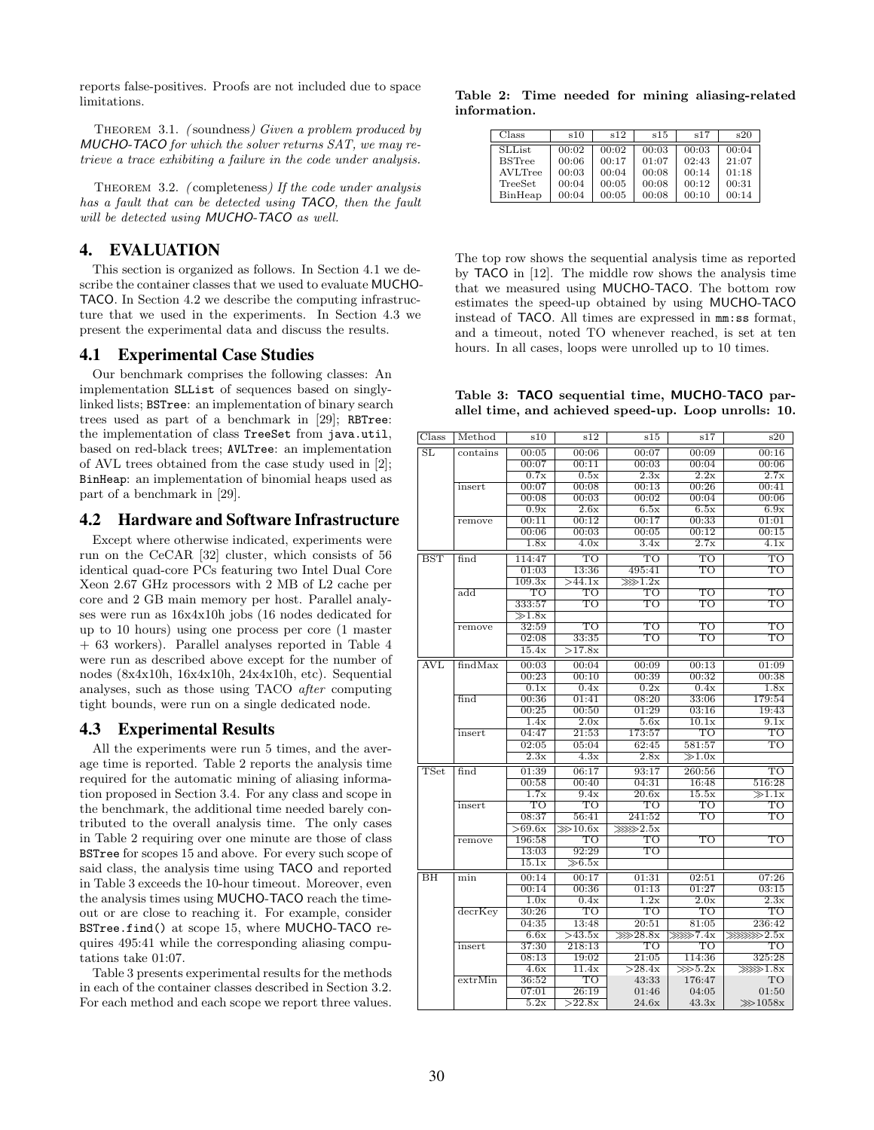reports false-positives. Proofs are not included due to space limitations.

THEOREM 3.1. (soundness) Given a problem produced by MUCHO-TACO for which the solver returns SAT, we may retrieve a trace exhibiting a failure in the code under analysis.

THEOREM 3.2. (completeness) If the code under analysis has a fault that can be detected using TACO, then the fault will be detected using MUCHO-TACO as well.

# 4. EVALUATION

This section is organized as follows. In Section 4.1 we describe the container classes that we used to evaluate MUCHO-TACO. In Section 4.2 we describe the computing infrastructure that we used in the experiments. In Section 4.3 we present the experimental data and discuss the results.

## 4.1 Experimental Case Studies

Our benchmark comprises the following classes: An implementation SLList of sequences based on singlylinked lists; BSTree: an implementation of binary search trees used as part of a benchmark in [29]; RBTree: the implementation of class TreeSet from java.util, based on red-black trees; AVLTree: an implementation of AVL trees obtained from the case study used in [2]; BinHeap: an implementation of binomial heaps used as part of a benchmark in [29].

### 4.2 Hardware and Software Infrastructure

Except where otherwise indicated, experiments were run on the CeCAR [32] cluster, which consists of 56 identical quad-core PCs featuring two Intel Dual Core Xeon 2.67 GHz processors with 2 MB of L2 cache per core and 2 GB main memory per host. Parallel analyses were run as 16x4x10h jobs (16 nodes dedicated for up to 10 hours) using one process per core (1 master + 63 workers). Parallel analyses reported in Table 4 were run as described above except for the number of nodes (8x4x10h, 16x4x10h, 24x4x10h, etc). Sequential analyses, such as those using TACO after computing tight bounds, were run on a single dedicated node.

## 4.3 Experimental Results

All the experiments were run 5 times, and the average time is reported. Table 2 reports the analysis time required for the automatic mining of aliasing information proposed in Section 3.4. For any class and scope in the benchmark, the additional time needed barely contributed to the overall analysis time. The only cases in Table 2 requiring over one minute are those of class BSTree for scopes 15 and above. For every such scope of said class, the analysis time using TACO and reported in Table 3 exceeds the 10-hour timeout. Moreover, even the analysis times using MUCHO-TACO reach the timeout or are close to reaching it. For example, consider BSTree.find() at scope 15, where MUCHO-TACO requires 495:41 while the corresponding aliasing computations take 01:07.

Table 3 presents experimental results for the methods in each of the container classes described in Section 3.2. For each method and each scope we report three values.

Table 2: Time needed for mining aliasing-related information.

| Class          | s10   | s12   | s15   | s17   | s20   |
|----------------|-------|-------|-------|-------|-------|
| <b>SLL</b> ist | 00:02 | 00:02 | 00:03 | 00:03 | 00:04 |
| <b>BSTree</b>  | 00:06 | 00:17 | 01:07 | 02:43 | 21:07 |
| <b>AVLTree</b> | 00:03 | 00:04 | 00:08 | 00:14 | 01:18 |
| TreeSet        | 00:04 | 00:05 | 00:08 | 00:12 | 00:31 |
| BinHeap        | 00:04 | 00:05 | 00:08 | 00:10 | 00:14 |

The top row shows the sequential analysis time as reported by TACO in [12]. The middle row shows the analysis time that we measured using MUCHO-TACO. The bottom row estimates the speed-up obtained by using MUCHO-TACO instead of TACO. All times are expressed in mm:ss format, and a timeout, noted TO whenever reached, is set at ten hours. In all cases, loops were unrolled up to 10 times.

Table 3: TACO sequential time, MUCHO-TACO parallel time, and achieved speed-up. Loop unrolls: 10.

| Class      | Method   | s10                  | s12                    | s15                    | s17                    | s20                    |
|------------|----------|----------------------|------------------------|------------------------|------------------------|------------------------|
| SL         | contains | 00:05                | 00:06                  | 00:07                  | 00:09                  | 00:16                  |
|            |          | 00:07                | 00:11                  | 00:03                  | 00:04                  | 00:06                  |
|            |          | 0.7x                 | 0.5x                   | 2.3x                   | 2.2x                   | 2.7x                   |
|            | insert   | 00:07                | 00:08                  | 00:13                  | 00:26                  | 00:41                  |
|            |          | 00:08                | 00:03                  | 00:02                  | 00:04                  | 00:06                  |
|            |          | 0.9x                 | 2.6x                   | 6.5x                   | 6.5x                   | 6.9x                   |
|            | remove   | 00:11                | 00:12                  | 00:17                  | 00:33                  | 01:01                  |
|            |          | 00:06                | 00:03                  | 00:05                  | 00:12                  | 00:15                  |
|            |          | 1.8x                 | 4.0x                   | 3.4x                   | 2.7x                   | 4.1x                   |
| <b>BST</b> | find     | 114:47               | $\overline{\text{TO}}$ | $\overline{\text{TO}}$ | $\overline{\text{TO}}$ | $\overline{\text{TO}}$ |
|            |          | 01:03                | 13:36                  | 495:41                 | TO                     | TO                     |
|            |          | 109.3x               | >44.1x                 | $\gg 1.2x$             |                        |                        |
|            | add      | то                   | TO                     | TO                     | TO                     | TO                     |
|            |          | 333:57               | TO                     | TO                     | TO                     | TO                     |
|            |          | $\overline{\gg}1.8x$ |                        |                        |                        |                        |
|            | remove   | 32:59                | TO                     | TO                     | TO                     | TO                     |
|            |          | 02:08                | 33:35                  | TO                     | TO                     | TO                     |
|            |          | 15.4x                | >17.8x                 |                        |                        |                        |
| AVL        | findMax  | 00:03                | 00:04                  | 00:09                  | 00:13                  | 01:09                  |
|            |          | 00:23                | 00:10                  | 00:39                  | 00:32                  | 00:38                  |
|            |          | 0.1x                 | 0.4x                   | 0.2x                   | 0.4x                   | 1.8x                   |
|            | find     | 00:36                | 01:41                  | 08:20                  | 33:06                  | 179:54                 |
|            |          | 00:25                | 00:50                  | 01:29                  | 03:16                  | 19:43                  |
|            |          | 1.4x                 | 2.0x                   | 5.6x                   | 10.1x                  | 9.1x                   |
|            | insert   | 04:47                | 21:53                  | 173:57                 | TO                     | TO                     |
|            |          | 02:05                | 05:04                  | 62:45                  | 581:57                 | TO                     |
|            |          | 2.3x                 | 4.3x                   | 2.8x                   | $\gg1.0x$              |                        |
| TSet       | find     | 01:39                | 06:17                  | 93:17                  | 260:56                 | TO                     |
|            |          | 00:58                | 00:40                  | 04:31                  | 16:48                  | 516:28                 |
|            |          | 1.7x                 | 9.4x                   | 20.6x                  | 15.5x                  | $\overline{\gg}1.1x$   |
|            | insert   | TO                   | TO                     | TO                     | TO                     | TO                     |
|            |          | 08:37                | 56:41                  | 241:52                 | то                     | TO                     |
|            |          | >69.6x               | $\gg 10.6x$            | $\gg 2.5x$             |                        |                        |
|            | remove   | 196:58               | TO                     | TO                     | TO                     | TO                     |
|            |          | 13:03                | 92:29                  | TO                     |                        |                        |
|            |          | 15.1x                | $_{\gg 6.5x}$          |                        |                        |                        |
| BH         | min      | 00:14                | 00:17                  | 01:31                  | 02:51                  | 07:26                  |
|            |          | 00:14                | 00:36                  | 01:13                  | 01:27                  | 03:15                  |
|            |          | 1.0x                 | 0.4x                   | 1.2x                   | 2.0x                   | 2.3x                   |
|            | decrKey  | 30:26                | TO                     | TO                     | TO                     | TO                     |
|            |          | 04:35                | 13:48                  | 20:51                  | 81:05                  | 236:42                 |
|            |          | 6.6x                 | >43.5x                 | $\ggg 28.8x$           | $\gg 7.4x$             | 300002.5x              |
|            | insert   | 37:30                | 218:13                 | TO                     | TO                     | TO                     |
|            |          | 08:13                | 19:02                  | 21:05                  | 114:36                 | 325:28                 |
|            |          | 4.6x                 | 11.4x                  | >28.4x                 | $\gg$ >5.2x            | $\gg 1.8x$             |
|            | extrMin  | 36:52                | TO                     | 43:33                  | 176:47                 | TO                     |
|            |          | 07:01                | 26:19                  | 01:46                  | 04:05                  | 01:50                  |
|            |          | 5.2x                 | >22.8x                 | 24.6x                  | 43.3x                  | $\gg$ 1058x            |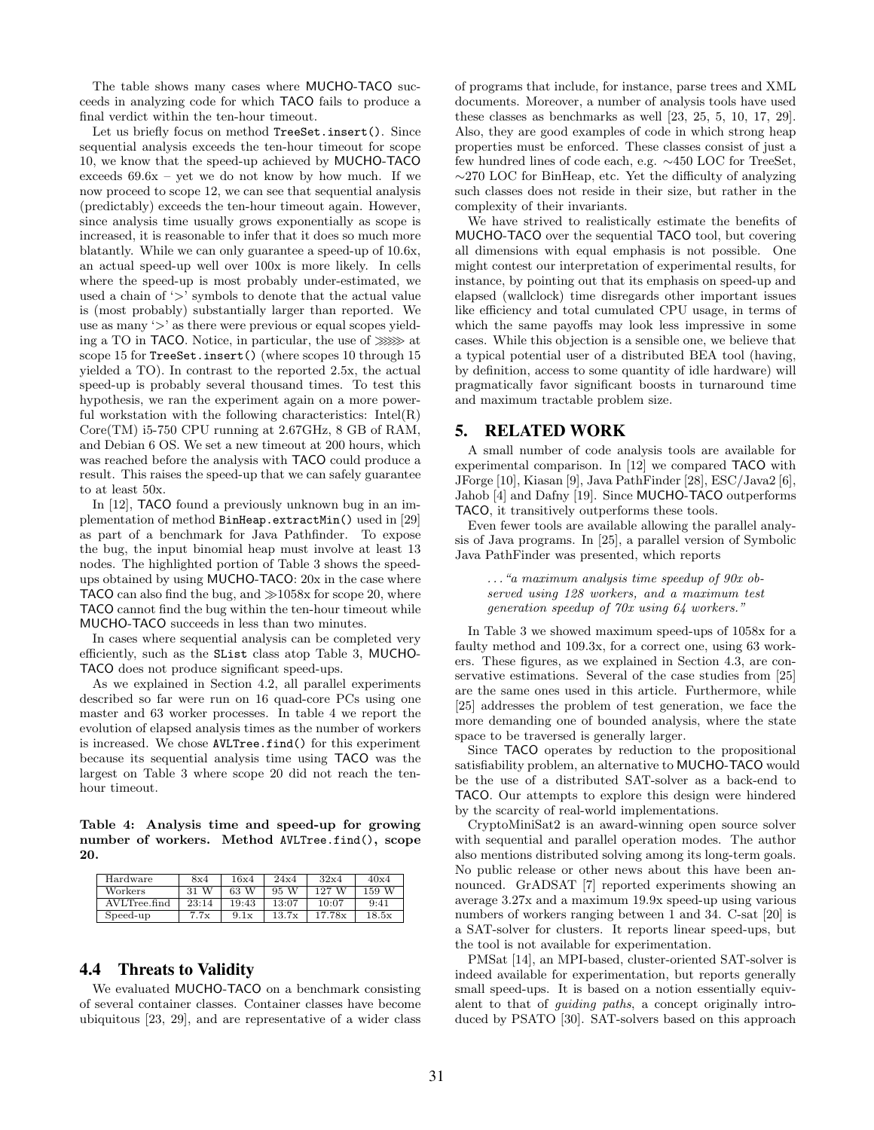The table shows many cases where MUCHO-TACO succeeds in analyzing code for which TACO fails to produce a final verdict within the ten-hour timeout.

Let us briefly focus on method TreeSet.insert(). Since sequential analysis exceeds the ten-hour timeout for scope 10, we know that the speed-up achieved by MUCHO-TACO exceeds  $69.6x - yet$  we do not know by how much. If we now proceed to scope 12, we can see that sequential analysis (predictably) exceeds the ten-hour timeout again. However, since analysis time usually grows exponentially as scope is increased, it is reasonable to infer that it does so much more blatantly. While we can only guarantee a speed-up of 10.6x, an actual speed-up well over 100x is more likely. In cells where the speed-up is most probably under-estimated, we used a chain of '>' symbols to denote that the actual value is (most probably) substantially larger than reported. We use as many '>' as there were previous or equal scopes yielding a TO in TACO. Notice, in particular, the use of  $\gg\gg$  at scope 15 for TreeSet.insert() (where scopes 10 through 15 yielded a TO). In contrast to the reported 2.5x, the actual speed-up is probably several thousand times. To test this hypothesis, we ran the experiment again on a more powerful workstation with the following characteristics: Intel(R) Core(TM) i5-750 CPU running at 2.67GHz, 8 GB of RAM, and Debian 6 OS. We set a new timeout at 200 hours, which was reached before the analysis with TACO could produce a result. This raises the speed-up that we can safely guarantee to at least 50x.

In [12], TACO found a previously unknown bug in an implementation of method BinHeap.extractMin() used in [29] as part of a benchmark for Java Pathfinder. To expose the bug, the input binomial heap must involve at least 13 nodes. The highlighted portion of Table 3 shows the speedups obtained by using MUCHO-TACO: 20x in the case where TACO can also find the bug, and  $\gg$ 1058x for scope 20, where TACO cannot find the bug within the ten-hour timeout while MUCHO-TACO succeeds in less than two minutes.

In cases where sequential analysis can be completed very efficiently, such as the SList class atop Table 3, MUCHO-TACO does not produce significant speed-ups.

As we explained in Section 4.2, all parallel experiments described so far were run on 16 quad-core PCs using one master and 63 worker processes. In table 4 we report the evolution of elapsed analysis times as the number of workers is increased. We chose AVLTree.find() for this experiment because its sequential analysis time using TACO was the largest on Table 3 where scope 20 did not reach the tenhour timeout.

Table 4: Analysis time and speed-up for growing number of workers. Method AVLTree.find(), scope 20.

| Hardware       | 8x4     | 16x4  | 24x4  | 32x4     | 40x4  |
|----------------|---------|-------|-------|----------|-------|
| <b>Workers</b> | W<br>31 | 63 W  | 95 W  | W<br>127 | 159 W |
| AVLTree.find   | 23:14   | 19:43 | 13:07 | 10:07    | 9:41  |
| Speed-up       | 7.7x    | 9.1x  | 13.7x | 17.78x   | 18.5x |

#### 4.4 Threats to Validity

We evaluated MUCHO-TACO on a benchmark consisting of several container classes. Container classes have become ubiquitous [23, 29], and are representative of a wider class of programs that include, for instance, parse trees and XML documents. Moreover, a number of analysis tools have used these classes as benchmarks as well [23, 25, 5, 10, 17, 29]. Also, they are good examples of code in which strong heap properties must be enforced. These classes consist of just a few hundred lines of code each, e.g. ∼450 LOC for TreeSet, ∼270 LOC for BinHeap, etc. Yet the difficulty of analyzing such classes does not reside in their size, but rather in the complexity of their invariants.

We have strived to realistically estimate the benefits of MUCHO-TACO over the sequential TACO tool, but covering all dimensions with equal emphasis is not possible. One might contest our interpretation of experimental results, for instance, by pointing out that its emphasis on speed-up and elapsed (wallclock) time disregards other important issues like efficiency and total cumulated CPU usage, in terms of which the same payoffs may look less impressive in some cases. While this objection is a sensible one, we believe that a typical potential user of a distributed BEA tool (having, by definition, access to some quantity of idle hardware) will pragmatically favor significant boosts in turnaround time and maximum tractable problem size.

### 5. RELATED WORK

A small number of code analysis tools are available for experimental comparison. In [12] we compared TACO with JForge [10], Kiasan [9], Java PathFinder [28], ESC/Java2 [6], Jahob [4] and Dafny [19]. Since MUCHO-TACO outperforms TACO, it transitively outperforms these tools.

Even fewer tools are available allowing the parallel analysis of Java programs. In [25], a parallel version of Symbolic Java PathFinder was presented, which reports

. . ."a maximum analysis time speedup of 90x observed using 128 workers, and a maximum test generation speedup of 70x using 64 workers."

In Table 3 we showed maximum speed-ups of 1058x for a faulty method and 109.3x, for a correct one, using 63 workers. These figures, as we explained in Section 4.3, are conservative estimations. Several of the case studies from [25] are the same ones used in this article. Furthermore, while [25] addresses the problem of test generation, we face the more demanding one of bounded analysis, where the state space to be traversed is generally larger.

Since TACO operates by reduction to the propositional satisfiability problem, an alternative to MUCHO-TACO would be the use of a distributed SAT-solver as a back-end to TACO. Our attempts to explore this design were hindered by the scarcity of real-world implementations.

CryptoMiniSat2 is an award-winning open source solver with sequential and parallel operation modes. The author also mentions distributed solving among its long-term goals. No public release or other news about this have been announced. GrADSAT [7] reported experiments showing an average 3.27x and a maximum 19.9x speed-up using various numbers of workers ranging between 1 and 34. C-sat [20] is a SAT-solver for clusters. It reports linear speed-ups, but the tool is not available for experimentation.

PMSat [14], an MPI-based, cluster-oriented SAT-solver is indeed available for experimentation, but reports generally small speed-ups. It is based on a notion essentially equivalent to that of guiding paths, a concept originally introduced by PSATO [30]. SAT-solvers based on this approach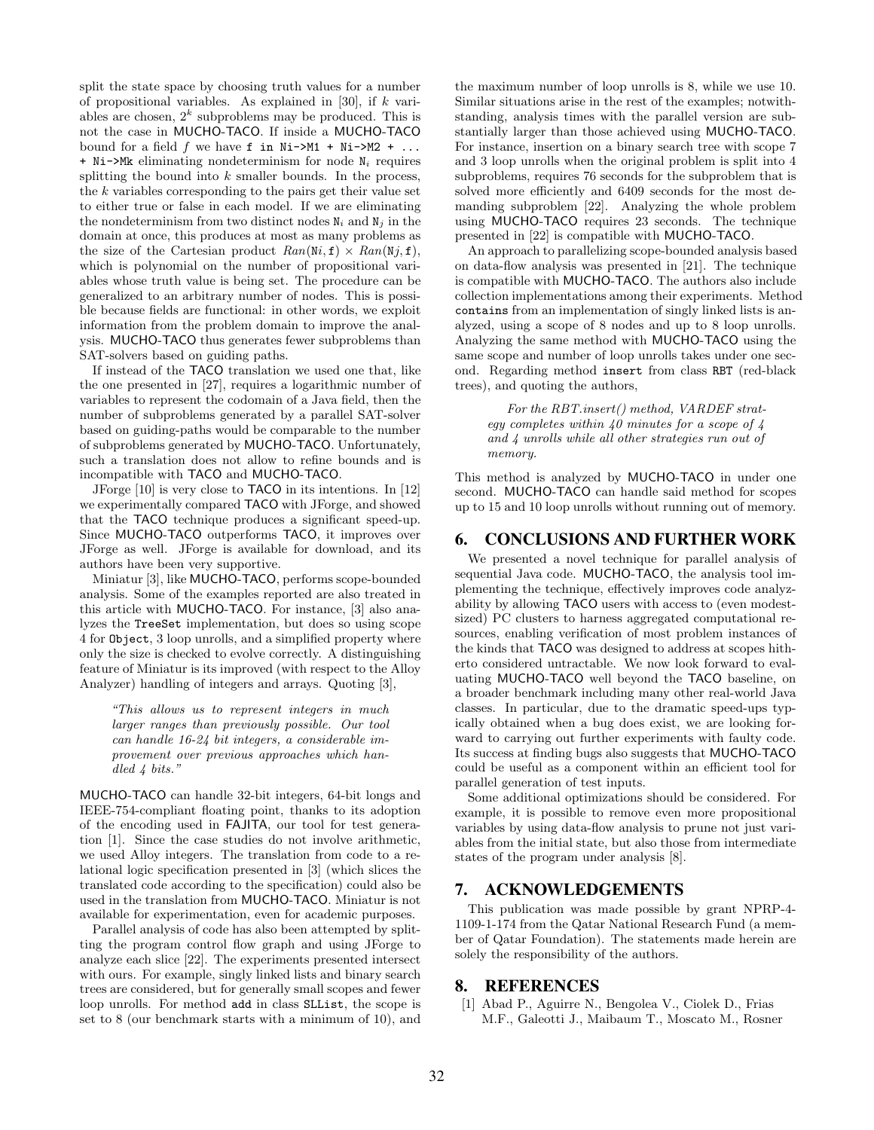split the state space by choosing truth values for a number of propositional variables. As explained in [30], if  $k$  variables are chosen,  $2^k$  subproblems may be produced. This is not the case in MUCHO-TACO. If inside a MUCHO-TACO bound for a field  $f$  we have  $f$  in Ni->M1 + Ni->M2 + ...  $+$  Ni->Mk eliminating nondeterminism for node N<sub>i</sub> requires splitting the bound into  $k$  smaller bounds. In the process, the k variables corresponding to the pairs get their value set to either true or false in each model. If we are eliminating the nondeterminism from two distinct nodes  $N_i$  and  $N_j$  in the domain at once, this produces at most as many problems as the size of the Cartesian product  $Ran(\text{Ni}, \text{f}) \times Ran(\text{Nj}, \text{f}),$ which is polynomial on the number of propositional variables whose truth value is being set. The procedure can be generalized to an arbitrary number of nodes. This is possible because fields are functional: in other words, we exploit information from the problem domain to improve the analysis. MUCHO-TACO thus generates fewer subproblems than SAT-solvers based on guiding paths.

If instead of the TACO translation we used one that, like the one presented in [27], requires a logarithmic number of variables to represent the codomain of a Java field, then the number of subproblems generated by a parallel SAT-solver based on guiding-paths would be comparable to the number of subproblems generated by MUCHO-TACO. Unfortunately, such a translation does not allow to refine bounds and is incompatible with TACO and MUCHO-TACO.

JForge [10] is very close to TACO in its intentions. In [12] we experimentally compared TACO with JForge, and showed that the TACO technique produces a significant speed-up. Since MUCHO-TACO outperforms TACO, it improves over JForge as well. JForge is available for download, and its authors have been very supportive.

Miniatur [3], like MUCHO-TACO, performs scope-bounded analysis. Some of the examples reported are also treated in this article with MUCHO-TACO. For instance, [3] also analyzes the TreeSet implementation, but does so using scope 4 for Object, 3 loop unrolls, and a simplified property where only the size is checked to evolve correctly. A distinguishing feature of Miniatur is its improved (with respect to the Alloy Analyzer) handling of integers and arrays. Quoting [3],

"This allows us to represent integers in much larger ranges than previously possible. Our tool can handle 16-24 bit integers, a considerable improvement over previous approaches which handled 4 bits."

MUCHO-TACO can handle 32-bit integers, 64-bit longs and IEEE-754-compliant floating point, thanks to its adoption of the encoding used in FAJITA, our tool for test generation [1]. Since the case studies do not involve arithmetic, we used Alloy integers. The translation from code to a relational logic specification presented in [3] (which slices the translated code according to the specification) could also be used in the translation from MUCHO-TACO. Miniatur is not available for experimentation, even for academic purposes.

Parallel analysis of code has also been attempted by splitting the program control flow graph and using JForge to analyze each slice [22]. The experiments presented intersect with ours. For example, singly linked lists and binary search trees are considered, but for generally small scopes and fewer loop unrolls. For method add in class SLList, the scope is set to 8 (our benchmark starts with a minimum of 10), and the maximum number of loop unrolls is 8, while we use 10. Similar situations arise in the rest of the examples; notwithstanding, analysis times with the parallel version are substantially larger than those achieved using MUCHO-TACO. For instance, insertion on a binary search tree with scope 7 and 3 loop unrolls when the original problem is split into 4 subproblems, requires 76 seconds for the subproblem that is solved more efficiently and 6409 seconds for the most demanding subproblem [22]. Analyzing the whole problem using MUCHO-TACO requires 23 seconds. The technique presented in [22] is compatible with MUCHO-TACO.

An approach to parallelizing scope-bounded analysis based on data-flow analysis was presented in [21]. The technique is compatible with MUCHO-TACO. The authors also include collection implementations among their experiments. Method contains from an implementation of singly linked lists is analyzed, using a scope of 8 nodes and up to 8 loop unrolls. Analyzing the same method with MUCHO-TACO using the same scope and number of loop unrolls takes under one second. Regarding method insert from class RBT (red-black trees), and quoting the authors,

For the RBT.insert() method, VARDEF strategy completes within 40 minutes for a scope of 4 and 4 unrolls while all other strategies run out of memory.

This method is analyzed by MUCHO-TACO in under one second. MUCHO-TACO can handle said method for scopes up to 15 and 10 loop unrolls without running out of memory.

# 6. CONCLUSIONS AND FURTHER WORK

We presented a novel technique for parallel analysis of sequential Java code. MUCHO-TACO, the analysis tool implementing the technique, effectively improves code analyzability by allowing TACO users with access to (even modestsized) PC clusters to harness aggregated computational resources, enabling verification of most problem instances of the kinds that TACO was designed to address at scopes hitherto considered untractable. We now look forward to evaluating MUCHO-TACO well beyond the TACO baseline, on a broader benchmark including many other real-world Java classes. In particular, due to the dramatic speed-ups typically obtained when a bug does exist, we are looking forward to carrying out further experiments with faulty code. Its success at finding bugs also suggests that MUCHO-TACO could be useful as a component within an efficient tool for parallel generation of test inputs.

Some additional optimizations should be considered. For example, it is possible to remove even more propositional variables by using data-flow analysis to prune not just variables from the initial state, but also those from intermediate states of the program under analysis [8].

## 7. ACKNOWLEDGEMENTS

This publication was made possible by grant NPRP-4- 1109-1-174 from the Qatar National Research Fund (a member of Qatar Foundation). The statements made herein are solely the responsibility of the authors.

#### 8. REFERENCES

[1] Abad P., Aguirre N., Bengolea V., Ciolek D., Frias M.F., Galeotti J., Maibaum T., Moscato M., Rosner